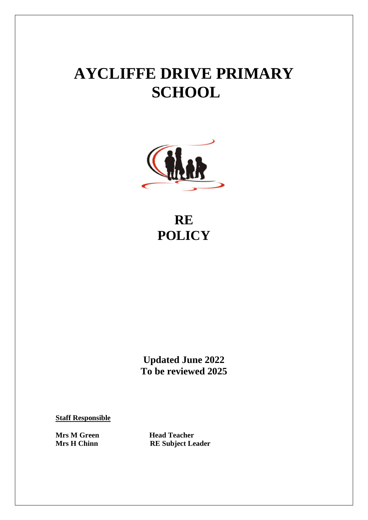# **AYCLIFFE DRIVE PRIMARY SCHOOL**



# **RE POLICY**

**Updated June 2022 To be reviewed 2025**

**Staff Responsible**

**Mrs M Green Head Teacher<br>Mrs H Chinn RE Subject Le RE Subject Leader**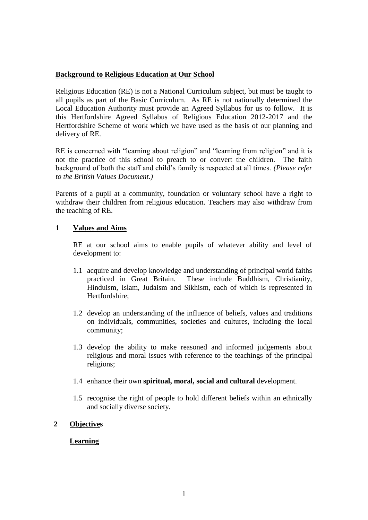### **Background to Religious Education at Our School**

Religious Education (RE) is not a National Curriculum subject, but must be taught to all pupils as part of the Basic Curriculum. As RE is not nationally determined the Local Education Authority must provide an Agreed Syllabus for us to follow. It is this Hertfordshire Agreed Syllabus of Religious Education 2012-2017 and the Hertfordshire Scheme of work which we have used as the basis of our planning and delivery of RE.

RE is concerned with "learning about religion" and "learning from religion" and it is not the practice of this school to preach to or convert the children. The faith background of both the staff and child's family is respected at all times. *(Please refer to the British Values Document.)*

Parents of a pupil at a community, foundation or voluntary school have a right to withdraw their children from religious education. Teachers may also withdraw from the teaching of RE.

#### **1 Values and Aims**

RE at our school aims to enable pupils of whatever ability and level of development to:

- 1.1 acquire and develop knowledge and understanding of principal world faiths practiced in Great Britain. These include Buddhism, Christianity, Hinduism, Islam, Judaism and Sikhism, each of which is represented in Hertfordshire;
- 1.2 develop an understanding of the influence of beliefs, values and traditions on individuals, communities, societies and cultures, including the local community;
- 1.3 develop the ability to make reasoned and informed judgements about religious and moral issues with reference to the teachings of the principal religions;
- 1.4 enhance their own **spiritual, moral, social and cultural** development.
- 1.5 recognise the right of people to hold different beliefs within an ethnically and socially diverse society.

# **2 Objectives**

# **Learning**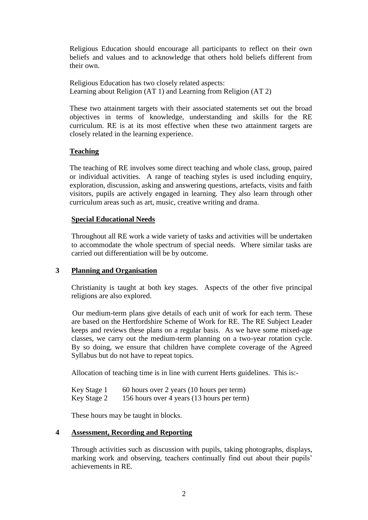Religious Education should encourage all participants to reflect on their own beliefs and values and to acknowledge that others hold beliefs different from their own.

Religious Education has two closely related aspects: Learning about Religion (AT 1) and Learning from Religion (AT 2)

These two attainment targets with their associated statements set out the broad objectives in terms of knowledge, understanding and skills for the RE curriculum. RE is at its most effective when these two attainment targets are closely related in the learning experience.

# **Teaching**

The teaching of RE involves some direct teaching and whole class, group, paired or individual activities. A range of teaching styles is used including enquiry, exploration, discussion, asking and answering questions, artefacts, visits and faith visitors, pupils are actively engaged in learning. They also learn through other curriculum areas such as art, music, creative writing and drama.

#### **Special Educational Needs**

Throughout all RE work a wide variety of tasks and activities will be undertaken to accommodate the whole spectrum of special needs. Where similar tasks are carried out differentiation will be by outcome.

#### **3 Planning and Organisation**

Christianity is taught at both key stages. Aspects of the other five principal religions are also explored.

 Our medium-term plans give details of each unit of work for each term. These are based on the Hertfordshire Scheme of Work for RE. The RE Subject Leader keeps and reviews these plans on a regular basis. As we have some mixed-age classes, we carry out the medium-term planning on a two-year rotation cycle. By so doing, we ensure that children have complete coverage of the Agreed Syllabus but do not have to repeat topics.

Allocation of teaching time is in line with current Herts guidelines. This is:-

| Key Stage 1 | 60 hours over 2 years (10 hours per term)  |
|-------------|--------------------------------------------|
| Key Stage 2 | 156 hours over 4 years (13 hours per term) |

These hours may be taught in blocks.

#### **4 Assessment, Recording and Reporting**

Through activities such as discussion with pupils, taking photographs, displays, marking work and observing, teachers continually find out about their pupils' achievements in RE.